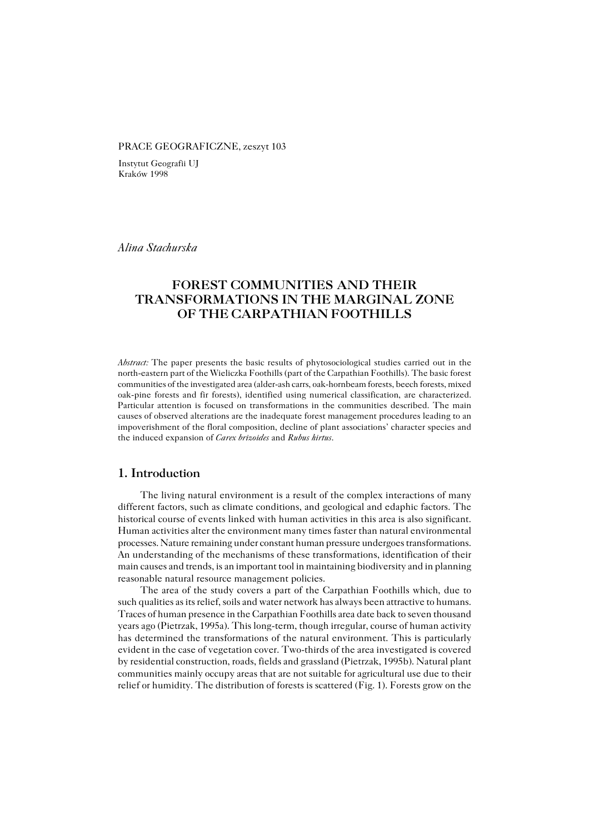#### PRACE GEOGRAFICZNE, zeszyt 103

Instytut Geografii UJ Kraków 1998

*Alina Stachurska*

# **FOREST COMMUNITIES AND THEIR TRANSFORMATIONS IN THE MARGINAL ZONE OF THE CARPATHIAN FOOTHILLS**

*Abstract:* The paper presents the basic results of phytosociological studies carried out in the north−eastern part of the Wieliczka Foothills (part of the Carpathian Foothills). The basic forest communities of the investigated area (alder−ash carrs, oak−hornbeam forests, beech forests, mixed oak−pine forests and fir forests), identified using numerical classification, are characterized. Particular attention is focused on transformations in the communities described. The main causes of observed alterations are the inadequate forest management procedures leading to an impoverishment of the floral composition, decline of plant associations' character species and the induced expansion of *Carex brizoides* and *Rubus hirtus*.

## **1. Introduction**

The living natural environment is a result of the complex interactions of many different factors, such as climate conditions, and geological and edaphic factors. The historical course of events linked with human activities in this area is also significant. Human activities alter the environment many times faster than natural environmental processes. Nature remaining under constant human pressure undergoes transformations. An understanding of the mechanisms of these transformations, identification of their main causes and trends, is an important tool in maintaining biodiversity and in planning reasonable natural resource management policies.

The area of the study covers a part of the Carpathian Foothills which, due to such qualities as its relief, soils and water network has always been attractive to humans. Traces of human presence in the Carpathian Foothills area date back to seven thousand years ago (Pietrzak, 1995a). This long−term, though irregular, course of human activity has determined the transformations of the natural environment. This is particularly evident in the case of vegetation cover. Two−thirds of the area investigated is covered by residential construction, roads, fields and grassland (Pietrzak, 1995b). Natural plant communities mainly occupy areas that are not suitable for agricultural use due to their relief or humidity. The distribution of forests is scattered (Fig. 1). Forests grow on the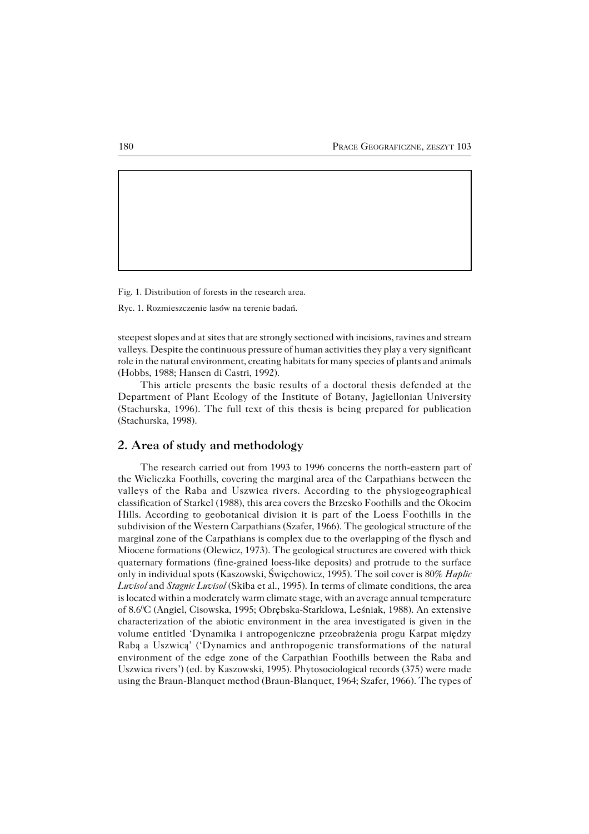Fig. 1. Distribution of forests in the research area.

Ryc. 1. Rozmieszczenie lasów na terenie badań.

steepest slopes and at sites that are strongly sectioned with incisions, ravines and stream valleys. Despite the continuous pressure of human activities they play a very significant role in the natural environment, creating habitats for many species of plants and animals (Hobbs, 1988; Hansen di Castri, 1992).

This article presents the basic results of a doctoral thesis defended at the Department of Plant Ecology of the Institute of Botany, Jagiellonian University (Stachurska, 1996). The full text of this thesis is being prepared for publication (Stachurska, 1998).

## **2. Area of study and methodology**

The research carried out from 1993 to 1996 concerns the north−eastern part of the Wieliczka Foothills, covering the marginal area of the Carpathians between the valleys of the Raba and Uszwica rivers. According to the physiogeographical classification of Starkel (1988), this area covers the Brzesko Foothills and the Okocim Hills. According to geobotanical division it is part of the Loess Foothills in the subdivision of the Western Carpathians (Szafer, 1966). The geological structure of the marginal zone of the Carpathians is complex due to the overlapping of the flysch and Miocene formations (Olewicz, 1973). The geological structures are covered with thick quaternary formations (fine−grained loess−like deposits) and protrude to the surface only in individual spots (Kaszowski, Święchowicz, 1995). The soil cover is 80% *Haplic Luvisol* and *Stagnic Luvisol* (Skiba et al., 1995). In terms of climate conditions, the area is located within a moderately warm climate stage, with an average annual temperature of 8.60C (Angiel, Cisowska, 1995; Obrębska−Starklowa, Leśniak, 1988). An extensive characterization of the abiotic environment in the area investigated is given in the volume entitled 'Dynamika i antropogeniczne przeobrażenia progu Karpat między Rabą a Uszwicą' ('Dynamics and anthropogenic transformations of the natural environment of the edge zone of the Carpathian Foothills between the Raba and Uszwica rivers') (ed. by Kaszowski, 1995). Phytosociological records (375) were made using the Braun−Blanquet method (Braun−Blanquet, 1964; Szafer, 1966). The types of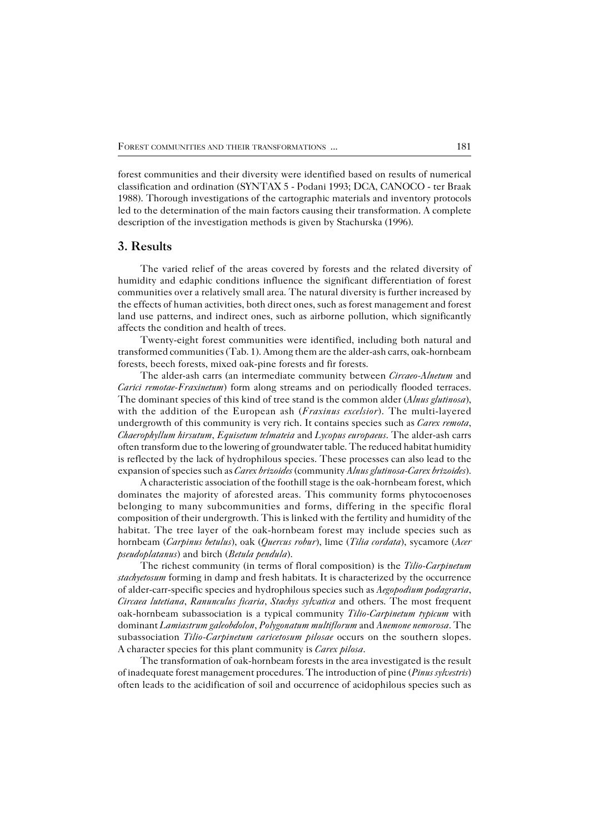forest communities and their diversity were identified based on results of numerical classification and ordination (SYNTAX 5 − Podani 1993; DCA, CANOCO − ter Braak 1988). Thorough investigations of the cartographic materials and inventory protocols led to the determination of the main factors causing their transformation. A complete description of the investigation methods is given by Stachurska (1996).

#### **3. Results**

The varied relief of the areas covered by forests and the related diversity of humidity and edaphic conditions influence the significant differentiation of forest communities over a relatively small area. The natural diversity is further increased by the effects of human activities, both direct ones, such as forest management and forest land use patterns, and indirect ones, such as airborne pollution, which significantly affects the condition and health of trees.

Twenty−eight forest communities were identified, including both natural and transformed communities (Tab. 1). Among them are the alder−ash carrs, oak−hornbeam forests, beech forests, mixed oak−pine forests and fir forests.

The alder−ash carrs (an intermediate community between *Circaeo−Alnetum* and *Carici remotae−Fraxinetum*) form along streams and on periodically flooded terraces. The dominant species of this kind of tree stand is the common alder (*Alnus glutinosa*), with the addition of the European ash (*Fraxinus excelsior*). The multi−layered undergrowth of this community is very rich. It contains species such as *Carex remota*, *Chaerophyllum hirsutum*, *Equisetum telmateia* and *Lycopus europaeus*. The alder−ash carrs often transform due to the lowering of groundwater table. The reduced habitat humidity is reflected by the lack of hydrophilous species. These processes can also lead to the expansion of species such as *Carex brizoides* (community *Alnus glutinosa−Carex brizoides*).

A characteristic association of the foothill stage is the oak−hornbeam forest, which dominates the majority of aforested areas. This community forms phytocoenoses belonging to many subcommunities and forms, differing in the specific floral composition of their undergrowth. This is linked with the fertility and humidity of the habitat. The tree layer of the oak−hornbeam forest may include species such as hornbeam (*Carpinus betulus*), oak (*Quercus robur*), lime (*Tilia cordata*), sycamore (*Acer pseudoplatanus*) and birch (*Betula pendula*).

The richest community (in terms of floral composition) is the *Tilio−Carpinetum stachyetosum* forming in damp and fresh habitats. It is characterized by the occurrence of alder−carr−specific species and hydrophilous species such as *Aegopodium podagraria*, *Circaea lutetiana*, *Ranunculus ficaria*, *Stachys sylvatica* and others. The most frequent oak−hornbeam subassociation is a typical community *Tilio−Carpinetum typicum* with dominant *Lamiastrum galeobdolon*, *Polygonatum multiflorum* and *Anemone nemorosa*. The subassociation *Tilio−Carpinetum caricetosum pilosae* occurs on the southern slopes. Acharacter species for this plant community is *Carex pilosa*.

The transformation of oak−hornbeam forests in the area investigated is the result of inadequate forest management procedures. The introduction of pine (*Pinus sylvestris*) often leads to the acidification of soil and occurrence of acidophilous species such as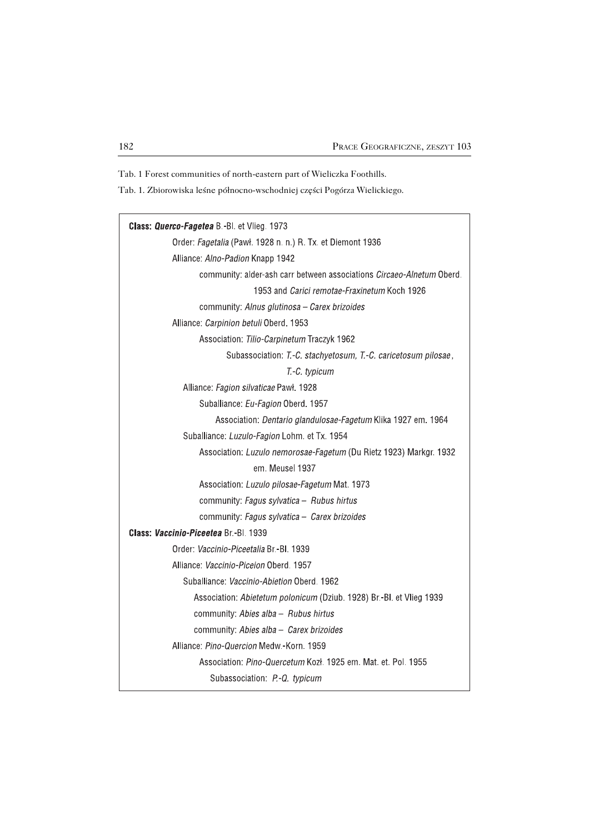Tab. 1 Forest communities of north−eastern part of Wieliczka Foothills.

Tab. 1. Zbiorowiska leśne północno−wschodniej części Pogórza Wielickiego.

| <b>Class: Querco-Fagetea B.-Bl. et Vlieg. 1973</b>                                         |
|--------------------------------------------------------------------------------------------|
| Order: Fagetalia (Pawł. 1928 n. n.) R. Tx. et Diemont 1936                                 |
| Alliance: Alno-Padion Knapp 1942                                                           |
| community: alder-ash carr between associations Circaeo-Alnetum Oberd.                      |
| 1953 and <i>Carici remotae-Fraxinetum</i> Koch 1926                                        |
| community: Alnus glutinosa - Carex brizoides                                               |
| Alliance: Carpinion betuli Oberd. 1953                                                     |
| Association: Tilio-Carpinetum Traczyk 1962                                                 |
| Subassociation: T.-C. stachyetosum, T.-C. caricetosum pilosae,                             |
| T.-C. typicum                                                                              |
| Alliance: Fagion silvaticae Pawl. 1928                                                     |
| Suballiance: Eu-Fagion Oberd. 1957                                                         |
| Association: Dentario glandulosae-Fagetum Klika 1927 em. 1964                              |
| Suballiance: Luzulo-Fagion Lohm. et Tx. 1954                                               |
| Association: Luzulo nemorosae-Fagetum (Du Rietz 1923) Markgr. 1932                         |
| em. Meusel 1937                                                                            |
| Association: Luzulo pilosae-Fagetum Mat. 1973                                              |
|                                                                                            |
| community: Fagus sylvatica - Rubus hirtus                                                  |
| community: Fagus sylvatica - Carex brizoides<br><b>Class: Vaccinio-Piceetea Br-BL 1939</b> |
|                                                                                            |
| Order: <i>Vaccinio-Piceetalia</i> Br - Bl 1939                                             |
| Alliance: Vaccinio-Piceion Oberd. 1957                                                     |
| Suballiance: Vaccinio-Abietion Oberd. 1962                                                 |
| Association: Abietetum polonicum (Dziub. 1928) Br.-Bl. et Vlieg 1939                       |
| community: Abies alba - Rubus hirtus                                                       |
| community: Abies alba - Carex brizoides                                                    |
| Alliance: Pino-Quercion Medw - Korn, 1959                                                  |
| Association: Pino-Quercetum Kozł. 1925 em. Mat. et. Pol. 1955                              |
| Subassociation: P-Q. typicum                                                               |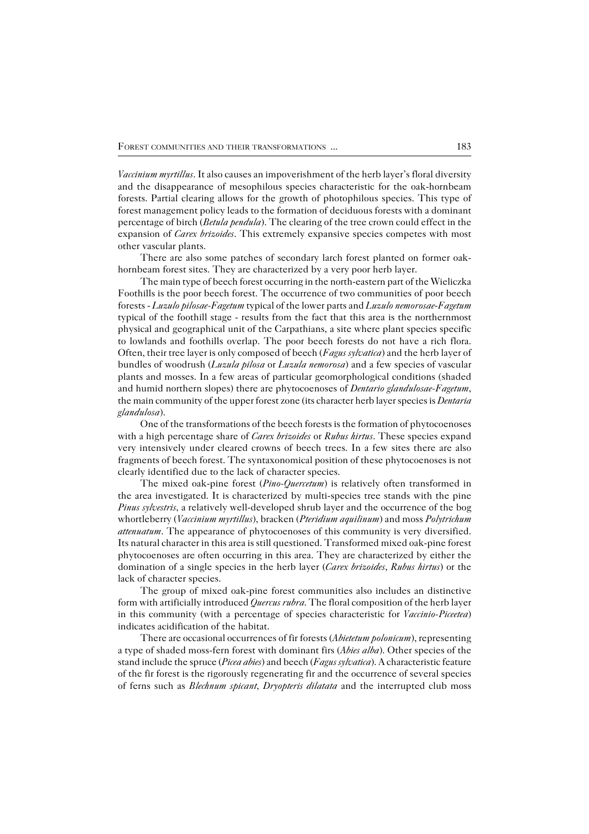*Vaccinium myrtillus*. It also causes an impoverishment of the herb layer's floral diversity and the disappearance of mesophilous species characteristic for the oak−hornbeam forests. Partial clearing allows for the growth of photophilous species. This type of forest management policy leads to the formation of deciduous forests with a dominant percentage of birch (*Betula pendula*). The clearing of the tree crown could effect in the expansion of *Carex brizoides*. This extremely expansive species competes with most other vascular plants.

There are also some patches of secondary larch forest planted on former oak− hornbeam forest sites. They are characterized by a very poor herb layer.

The main type of beech forest occurring in the north−eastern part of the Wieliczka Foothills is the poor beech forest. The occurrence of two communities of poor beech forests − *Luzulo pilosae−Fagetum* typical of the lower parts and *Luzulo nemorosae*−*Fagetum* typical of the foothill stage − results from the fact that this area is the northernmost physical and geographical unit of the Carpathians, a site where plant species specific to lowlands and foothills overlap. The poor beech forests do not have a rich flora. Often, their tree layer is only composed of beech (*Fagus sylvatica*) and the herb layer of bundles of woodrush (*Luzula pilosa* or *Luzula nemorosa*) and a few species of vascular plants and mosses. In a few areas of particular geomorphological conditions (shaded and humid northern slopes) there are phytocoenoses of *Dentario glandulosae−Fagetum*, the main community of the upper forest zone (its character herb layer species is *Dentaria glandulosa*).

One of the transformations of the beech forests is the formation of phytocoenoses with a high percentage share of *Carex brizoides* or *Rubus hirtus*. These species expand very intensively under cleared crowns of beech trees. In a few sites there are also fragments of beech forest. The syntaxonomical position of these phytocoenoses is not clearly identified due to the lack of character species.

The mixed oak−pine forest (*Pino−Quercetum*) is relatively often transformed in the area investigated. It is characterized by multi−species tree stands with the pine *Pinus sylvestris*, a relatively well-developed shrub layer and the occurrence of the bog whortleberry (*Vaccinium myrtillus*), bracken (*Pteridium aquilinum*) and moss *Polytrichum attenuatum*. The appearance of phytocoenoses of this community is very diversified. Its natural character in this area is still questioned. Transformed mixed oak−pine forest phytocoenoses are often occurring in this area. They are characterized by either the domination of a single species in the herb layer (*Carex brizoides*, *Rubus hirtus*) or the lack of character species.

The group of mixed oak−pine forest communities also includes an distinctive form with artificially introduced *Quercus rubra*. The floral composition of the herb layer in this community (with a percentage of species characteristic for *Vaccinio−Piceetea*) indicates acidification of the habitat.

There are occasional occurrences of fir forests (*Abietetum polonicum*), representing a type of shaded moss−fern forest with dominant firs (*Abies alba*). Other species of the stand include the spruce (*Picea abies*) and beech (*Fagus sylvatica*). A characteristic feature of the fir forest is the rigorously regenerating fir and the occurrence of several species of ferns such as *Blechnum spicant*, *Dryopteris dilatata* and the interrupted club moss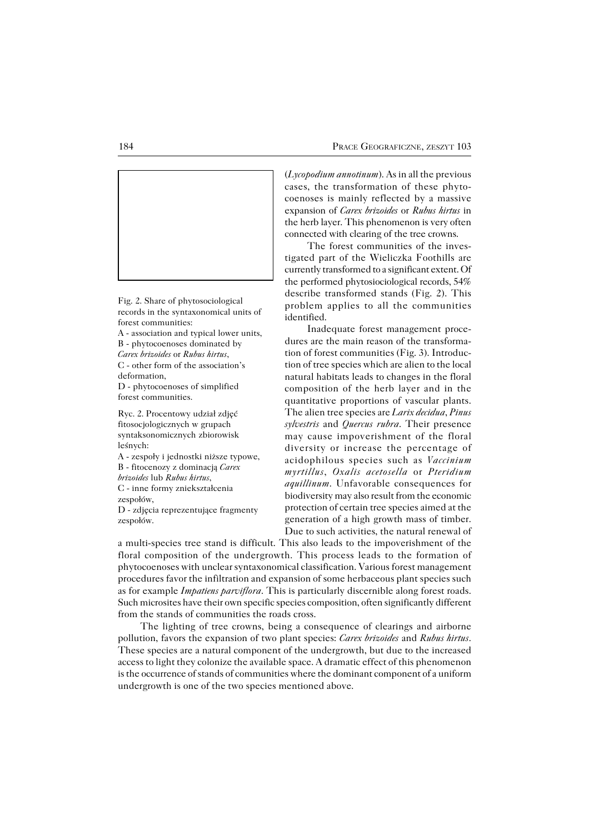

Fig. 2. Share of phytosociological records in the syntaxonomical units of forest communities:

A − association and typical lower units, B − phytocoenoses dominated by *Carex brizoides* or *Rubus hirtus*, C − other form of the association's deformation,

D − phytocoenoses of simplified forest communities.

Ryc. 2. Procentowy udział zdjęć fitosocjologicznych w grupach syntaksonomicznych zbiorowisk leśnych:

A − zespoły i jednostki niższe typowe, B − fitocenozy z dominacją *Carex brizoides* lub *Rubus hirtus*, C − inne formy zniekształcenia zespołów,

D − zdjęcia reprezentujące fragmenty zespołów.

(*Lycopodium annotinum*). As in all the previous cases, the transformation of these phyto− coenoses is mainly reflected by a massive expansion of *Carex brizoides* or *Rubus hirtus* in the herb layer. This phenomenon is very often connected with clearing of the tree crowns.

The forest communities of the inves− tigated part of the Wieliczka Foothills are currently transformed to a significant extent. Of the performed phytosiociological records, 54% describe transformed stands (Fig. 2). This problem applies to all the communities identified.

Inadequate forest management proce− dures are the main reason of the transforma− tion of forest communities (Fig. 3). Introduc− tion of tree species which are alien to the local natural habitats leads to changes in the floral composition of the herb layer and in the quantitative proportions of vascular plants. The alien tree species are *Larix decidua*, *Pinus sylvestris* and *Quercus rubra*. Their presence may cause impoverishment of the floral diversity or increase the percentage of acidophilous species such as *Vaccinium myrtillus*, *Oxalis acetosella* or *Pteridium aquillinum*. Unfavorable consequences for biodiversity may also result from the economic protection of certain tree species aimed at the generation of a high growth mass of timber. Due to such activities, the natural renewal of

a multi−species tree stand is difficult. This also leads to the impoverishment of the floral composition of the undergrowth. This process leads to the formation of phytocoenoses with unclear syntaxonomical classification. Various forest management procedures favor the infiltration and expansion of some herbaceous plant species such as for example *Impatiens parviflora*. This is particularly discernible along forest roads. Such microsites have their own specific species composition, often significantly different from the stands of communities the roads cross.

The lighting of tree crowns, being a consequence of clearings and airborne pollution, favors the expansion of two plant species: *Carex brizoides* and *Rubus hirtus*. These species are a natural component of the undergrowth, but due to the increased access to light they colonize the available space. A dramatic effect of this phenomenon is the occurrence of stands of communities where the dominant component of a uniform undergrowth is one of the two species mentioned above.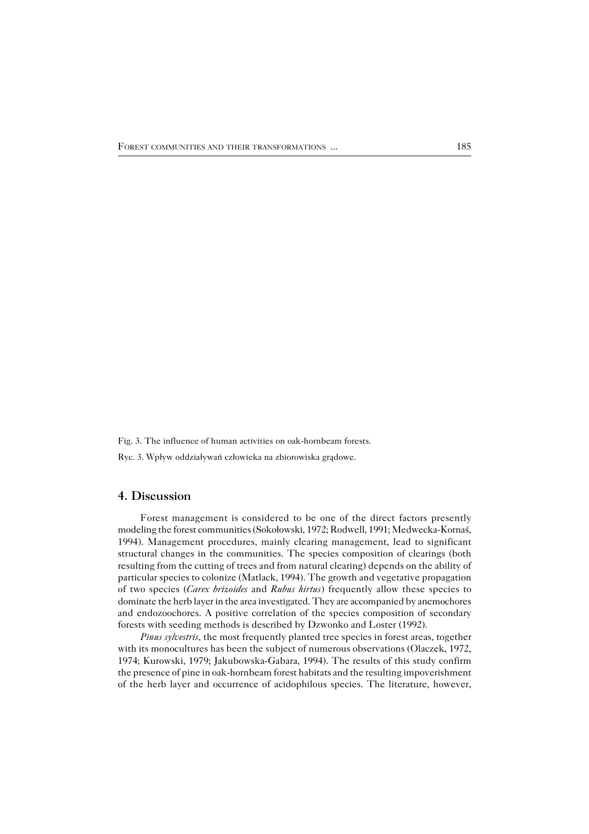Fig. 3. The influence of human activities on oak−hornbeam forests. Ryc. 3. Wpływ oddziaływań człowieka na zbiorowiska grądowe.

# **4. Discussion**

Forest management is considered to be one of the direct factors presently modeling the forest communities (Sokołowski, 1972; Rodwell, 1991; Medwecka−Kornaś, 1994). Management procedures, mainly clearing management, lead to significant structural changes in the communities. The species composition of clearings (both resulting from the cutting of trees and from natural clearing) depends on the ability of particular species to colonize (Matlack, 1994). The growth and vegetative propagation of two species (*Carex brizoides* and *Rubus hirtus*) frequently allow these species to dominate the herb layer in the area investigated. They are accompanied by anemochores and endozoochores. A positive correlation of the species composition of secondary forests with seeding methods is described by Dzwonko and Loster (1992).

*Pinus sylvestris*, the most frequently planted tree species in forest areas, together with its monocultures has been the subject of numerous observations (Olaczek, 1972, 1974; Kurowski, 1979; Jakubowska−Gabara, 1994). The results of this study confirm the presence of pine in oak−hornbeam forest habitats and the resulting impoverishment of the herb layer and occurrence of acidophilous species. The literature, however,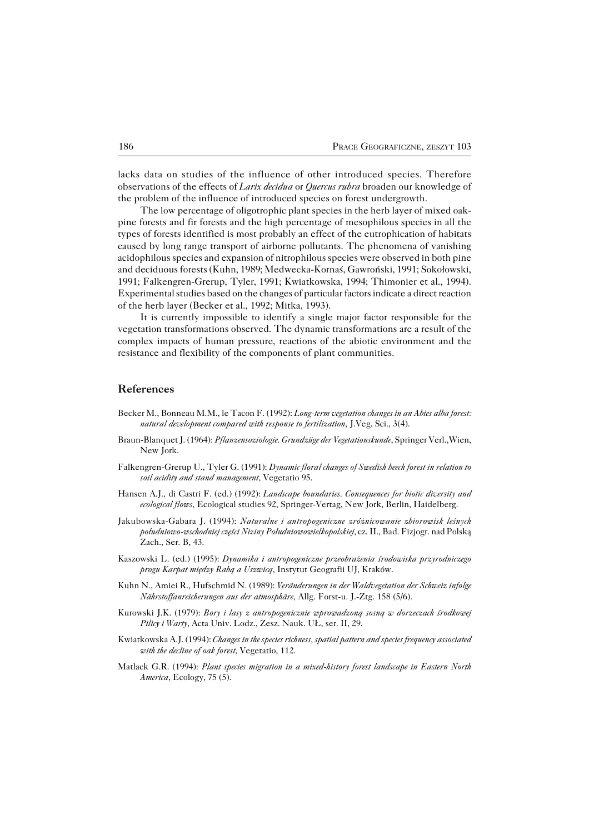lacks data on studies of the influence of other introduced species. Therefore observations of the effects of *Larix decidua* or *Quercus rubra* broaden our knowledge of the problem of the influence of introduced species on forest undergrowth.

The low percentage of oligotrophic plant species in the herb layer of mixed oak− pine forests and fir forests and the high percentage of mesophilous species in all the types of forests identified is most probably an effect of the eutrophication of habitats caused by long range transport of airborne pollutants. The phenomena of vanishing acidophilous species and expansion of nitrophilous species were observed in both pine and deciduous forests (Kuhn, 1989; Medwecka−Kornaś, Gawroński, 1991; Sokołowski, 1991; Falkengren−Grerup, Tyler, 1991; Kwiatkowska, 1994; Thimonier et al., 1994). Experimental studies based on the changes of particular factors indicate a direct reaction of the herb layer (Becker et al., 1992; Mitka, 1993).

It is currently impossible to identify a single major factor responsible for the vegetation transformations observed. The dynamic transformations are a result of the complex impacts of human pressure, reactions of the abiotic environment and the resistance and flexibility of the components of plant communities.

#### **References**

- Becker M., Bonneau M.M., le Tacon F. (1992): *Long−term vegetation changes in an Abies alba forest: natural development compared with response to fertilization*, J.Veg. Sci., 3(4).
- Braun−Blanquet J. (1964): *Pflanzensoziologie. Grundzüge der Vegetationskunde*, Springer Verl.,Wien, New Jork.
- Falkengren−Grerup U., Tyler G. (1991): *Dynamic floral changes of Swedish beech forest in relation to soil acidity and stand management*, Vegetatio 95.
- Hansen A.J., di Castri F. (ed.) (1992): *Landscape boundaries. Consequences for biotic diversity and ecological flows*, Ecological studies 92, Springer−Vertag, New Jork, Berlin, Haidelberg.
- Jakubowska−Gabara J. (1994): *Naturalne i antropogeniczne zróżnicowanie zbiorowisk leśnych południowo−wschodniej części Niziny Południowowielkopolskiej*, cz. II., Bad. Fizjogr. nad Polską Zach., Ser. B, 43.
- Kaszowski L. (ed.) (1995): *Dynamika i antropogeniczne przeobrażenia środowiska przyrodniczego progu Karpat między Rabą a Uszwicą*, Instytut Geografii UJ, Kraków.
- Kuhn N., Amiei R., Hufschmid N. (1989): *Veränderungen in der Waldvegetation der Schweiz infolge Nährstoffanreicherungen aus der atmosphäre*, Allg. Forst−u. J.−Ztg. 158 (5/6).
- Kurowski J.K. (1979): *Bory i lasy z antropogenicznie wprowadzoną sosną w dorzeczach środkowej Pilicy i Warty*, Acta Univ. Lodz., Zesz. Nauk. UŁ, ser. II, 29.
- Kwiatkowska A.J. (1994): *Changes in the species richness, spatial pattern and species frequency associated with the decline of oak forest*, Vegetatio, 112.
- Matlack G.R. (1994): *Plant species migration in a mixed−history forest landscape in Eastern North America*, Ecology, 75 (5).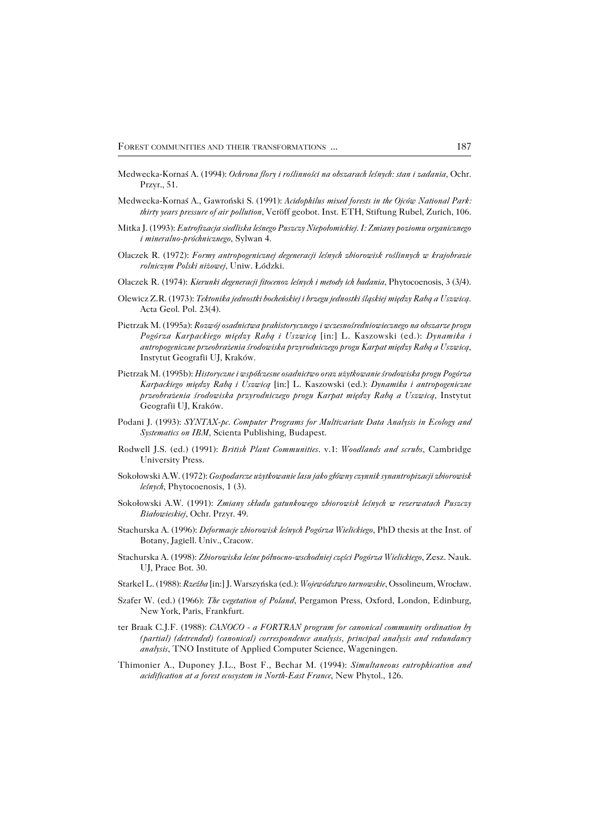- Medwecka−Kornaś A. (1994): *Ochrona flory i roślinności na obszarach leśnych: stan i zadania*, Ochr. Przyr., 51.
- Medwecka−Kornaś A., Gawroński S. (1991): *Acidophilus mixed forests in the Ojców National Park: thirty years pressure of air pollution*, Veröff geobot. Inst. ETH, Stiftung Rubel, Zurich, 106.
- Mitka J. (1993): *Eutrofizacja siedliska leśnego Puszczy Niepołomickiej. I: Zmiany poziomu organicznego i mineralno−próchnicznego*, Sylwan 4.
- Olaczek R. (1972): *Formy antropogenicznej degeneracji leśnych zbiorowisk roślinnych w krajobrazie rolniczym Polski niżowej*, Uniw. Łódzki.
- Olaczek R. (1974): *Kierunki degeneracji fitocenoz leśnych i metody ich badania*, Phytocoenosis, 3 (3/4).
- Olewicz Z.R. (1973): *Tektonika jednostki bocheńskiej i brzegu jednostki śląskiej między Rabą a Uszwicą*. Acta Geol. Pol. 23(4).
- Pietrzak M. (1995a): *Rozwój osadnictwa prahistorycznego i wczesnośredniowiecznego na obszarze progu Pogórza Karpackiego między Rabą i Uszwicą* [in:] L. Kaszowski (ed.): *Dynamika i antropogeniczne przeobrażenia środowiska przyrodniczego progu Karpat między Rabą a Uszwicą*, Instytut Geografii UJ, Kraków.
- Pietrzak M. (1995b): *Historyczne i współczesne osadnictwo oraz użytkowanie środowiska progu Pogórza Karpackiego między Rabą i Uszwicą* [in:] L. Kaszowski (ed.): *Dynamika i antropogeniczne przeobrażenia środowiska przyrodniczego progu Karpat między Rabą a Uszwicą*, Instytut Geografii UJ, Kraków.
- Podani J. (1993): *SYNTAX−pc. Computer Programs for Multivariate Data Analysis in Ecology and Systematics on IBM,* Scienta Publishing, Budapest.
- Rodwell J.S. (ed.) (1991): *British Plant Communities*. v.1: *Woodlands and scrubs*, Cambridge University Press.
- Sokołowski A.W. (1972): *Gospodarcze użytkowanie lasu jako główny czynnik synantropizacji zbiorowisk leśnych*, Phytocoenosis, 1 (3).
- Sokołowski A.W. (1991): *Zmiany składu gatunkowego zbiorowisk leśnych w rezerwatach Puszczy Białowieskiej*, Ochr. Przyr. 49.
- Stachurska A. (1996): *Deformacje zbiorowisk leśnych Pogórza Wielickiego*, PhD thesis at the Inst. of Botany, Jagiell. Univ., Cracow.
- Stachurska A. (1998): *Zbiorowiska leśne północno−wschodniej części Pogórza Wielickiego*, Zesz. Nauk. UJ, Prace Bot. 30.
- Starkel L. (1988): *Rzeźba* [in:] J. Warszyńska (ed.): *Województwo tarnowskie*, Ossolineum, Wrocław.
- Szafer W. (ed.) (1966): *The vegetation of Poland*, Pergamon Press, Oxford, London, Edinburg, New York, Paris, Frankfurt.
- ter Braak C.J.F. (1988): *CANOCO − a FORTRAN program for canonical community ordination by (partial) (detrended) (canonical) correspondence analysis, principal analysis and redundancy analysis*, TNO Institute of Applied Computer Science, Wageningen.
- Thimonier A., Duponey J.L., Bost F., Bechar M. (1994): *Simultaneous eutrophication and acidification at a forest ecosystem in North−East France*, New Phytol., 126.